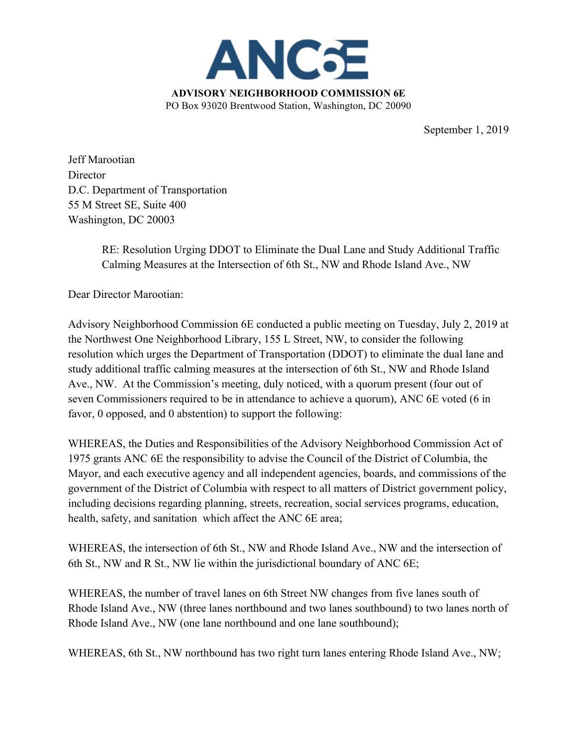

September 1, 2019

Jeff Marootian **Director** D.C. Department of Transportation 55 M Street SE, Suite 400 Washington, DC 20003

> RE: Resolution Urging DDOT to Eliminate the Dual Lane and Study Additional Traffic Calming Measures at the Intersection of 6th St., NW and Rhode Island Ave., NW

Dear Director Marootian:

Advisory Neighborhood Commission 6E conducted a public meeting on Tuesday, July 2, 2019 at the Northwest One Neighborhood Library, 155 L Street, NW, to consider the following resolution which urges the Department of Transportation (DDOT) to eliminate the dual lane and study additional traffic calming measures at the intersection of 6th St., NW and Rhode Island Ave., NW. At the Commission's meeting, duly noticed, with a quorum present (four out of seven Commissioners required to be in attendance to achieve a quorum), ANC 6E voted (6 in favor, 0 opposed, and 0 abstention) to support the following:

WHEREAS, the Duties and Responsibilities of the Advisory Neighborhood Commission Act of 1975 grants ANC 6E the responsibility to advise the Council of the District of Columbia, the Mayor, and each executive agency and all independent agencies, boards, and commissions of the government of the District of Columbia with respect to all matters of District government policy, including decisions regarding planning, streets, recreation, social services programs, education, health, safety, and sanitation which affect the ANC 6E area;

WHEREAS, the intersection of 6th St., NW and Rhode Island Ave., NW and the intersection of 6th St., NW and R St., NW lie within the jurisdictional boundary of ANC 6E;

WHEREAS, the number of travel lanes on 6th Street NW changes from five lanes south of Rhode Island Ave., NW (three lanes northbound and two lanes southbound) to two lanes north of Rhode Island Ave., NW (one lane northbound and one lane southbound);

WHEREAS, 6th St., NW northbound has two right turn lanes entering Rhode Island Ave., NW;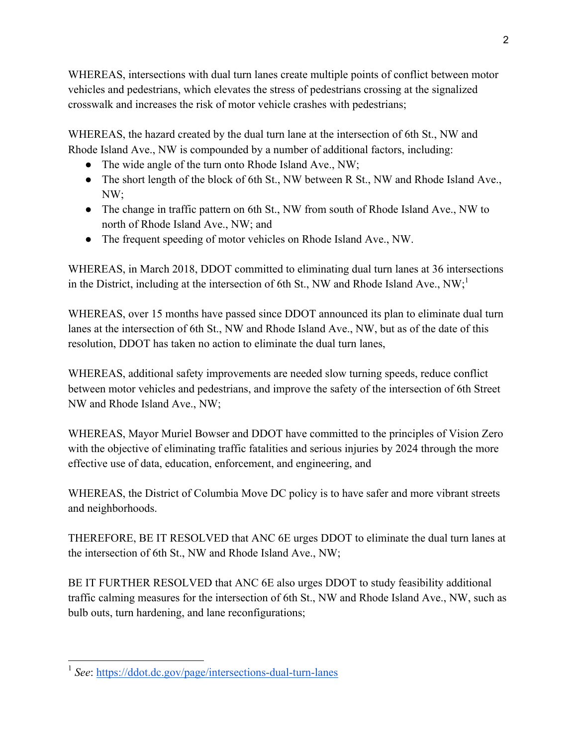WHEREAS, intersections with dual turn lanes create multiple points of conflict between motor vehicles and pedestrians, which elevates the stress of pedestrians crossing at the signalized crosswalk and increases the risk of motor vehicle crashes with pedestrians;

WHEREAS, the hazard created by the dual turn lane at the intersection of 6th St., NW and Rhode Island Ave., NW is compounded by a number of additional factors, including:

- The wide angle of the turn onto Rhode Island Ave., NW;
- The short length of the block of 6th St., NW between R St., NW and Rhode Island Ave., NW;
- The change in traffic pattern on 6th St., NW from south of Rhode Island Ave., NW to north of Rhode Island Ave., NW; and
- The frequent speeding of motor vehicles on Rhode Island Ave., NW.

WHEREAS, in March 2018, DDOT committed to eliminating dual turn lanes at 36 intersections in the District, including at the intersection of 6th St., NW and Rhode Island Ave.,  $NW<sub>i</sub>$ <sup>1</sup>

WHEREAS, over 15 months have passed since DDOT announced its plan to eliminate dual turn lanes at the intersection of 6th St., NW and Rhode Island Ave., NW, but as of the date of this resolution, DDOT has taken no action to eliminate the dual turn lanes,

WHEREAS, additional safety improvements are needed slow turning speeds, reduce conflict between motor vehicles and pedestrians, and improve the safety of the intersection of 6th Street NW and Rhode Island Ave., NW;

WHEREAS, Mayor Muriel Bowser and DDOT have committed to the principles of Vision Zero with the objective of eliminating traffic fatalities and serious injuries by 2024 through the more effective use of data, education, enforcement, and engineering, and

WHEREAS, the District of Columbia Move DC policy is to have safer and more vibrant streets and neighborhoods.

THEREFORE, BE IT RESOLVED that ANC 6E urges DDOT to eliminate the dual turn lanes at the intersection of 6th St., NW and Rhode Island Ave., NW;

BE IT FURTHER RESOLVED that ANC 6E also urges DDOT to study feasibility additional traffic calming measures for the intersection of 6th St., NW and Rhode Island Ave., NW, such as bulb outs, turn hardening, and lane reconfigurations;

<sup>1</sup> *See*: https://ddot.dc.gov/page/intersections-dual-turn-lanes